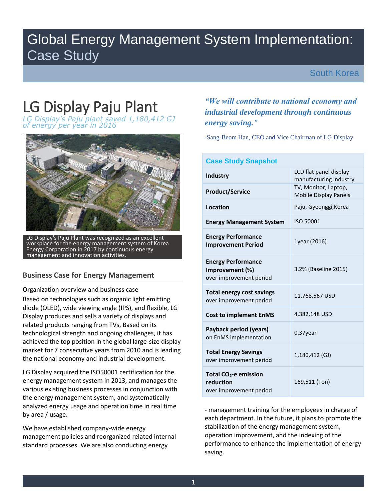## Global Energy Management System Implementation: Case Study

## South Korea

# LG Display Paju Plant

*LG Display's Paju plant saved 1,180,412 GJ of energy per year in 2016* 



LG Display's Paju Plant was recognized as an excellent workplace for the energy management system of Korea Energy Corporation in 2017 by continuous energy management and innovation activities.

## **Business Case for Energy Management**

Organization overview and business case

Based on technologies such as organic light emitting diode (OLED), wide viewing angle (IPS), and flexible, LG Display produces and sells a variety of displays and related products ranging from TVs, Based on its technological strength and ongoing challenges, it has achieved the top position in the global large-size display market for 7 consecutive years from 2010 and is leading the national economy and industrial development.

LG Display acquired the ISO50001 certification for the energy management system in 2013, and manages the various existing business processes in conjunction with the energy management system, and systematically analyzed energy usage and operation time in real time by area / usage.

We have established company-wide energy management policies and reorganized related internal standard processes. We are also conducting energy

## *"We will contribute to national economy and industrial development through continuous energy saving."*

-Sang-Beom Han, CEO and Vice Chairman of LG Display

| <b>Case Study Snapshot</b>                                              |                                                      |  |  |  |  |
|-------------------------------------------------------------------------|------------------------------------------------------|--|--|--|--|
| <b>Industry</b>                                                         | LCD flat panel display<br>manufacturing industry     |  |  |  |  |
| <b>Product/Service</b>                                                  | TV, Monitor, Laptop,<br><b>Mobile Display Panels</b> |  |  |  |  |
| Location                                                                | Paju, Gyeonggi, Korea                                |  |  |  |  |
| <b>Energy Management System</b>                                         | ISO 50001                                            |  |  |  |  |
| <b>Energy Performance</b><br><b>Improvement Period</b>                  | 1year (2016)                                         |  |  |  |  |
| <b>Energy Performance</b><br>Improvement (%)<br>over improvement period | 3.2% (Baseline 2015)                                 |  |  |  |  |
| <b>Total energy cost savings</b><br>over improvement period             | 11,768,567 USD                                       |  |  |  |  |
| <b>Cost to implement EnMS</b>                                           | 4,382,148 USD                                        |  |  |  |  |
| Payback period (years)<br>on EnMS implementation                        | 0.37year                                             |  |  |  |  |
| <b>Total Energy Savings</b><br>over improvement period                  | 1,180,412 (GJ)                                       |  |  |  |  |
| Total $CO2$ -e emission<br>reduction<br>over improvement period         | 169,511 (Ton)                                        |  |  |  |  |

- management training for the employees in charge of each department. In the future, it plans to promote the stabilization of the energy management system, operation improvement, and the indexing of the performance to enhance the implementation of energy saving.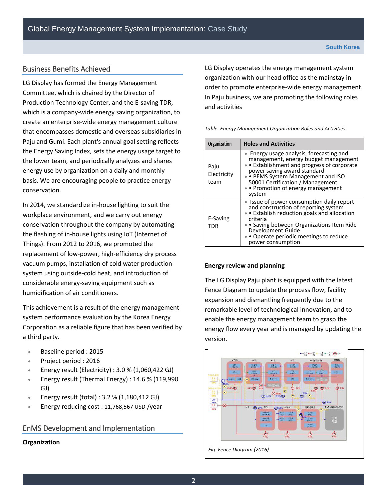### Business Benefits Achieved

LG Display has formed the Energy Management Committee, which is chaired by the Director of Production Technology Center, and the E-saving TDR, which is a company-wide energy saving organization, to create an enterprise-wide energy management culture that encompasses domestic and overseas subsidiaries in Paju and Gumi. Each plant's annual goal setting reflects the Energy Saving Index, sets the energy usage target to the lower team, and periodically analyzes and shares energy use by organization on a daily and monthly basis. We are encouraging people to practice energy conservation.

In 2014, we standardize in-house lighting to suit the workplace environment, and we carry out energy conservation throughout the company by automating the flashing of in-house lights using IoT (Internet of Things). From 2012 to 2016, we promoted the replacement of low-power, high-efficiency dry process vacuum pumps, installation of cold water production system using outside-cold heat, and introduction of considerable energy-saving equipment such as humidification of air conditioners.

This achievement is a result of the energy management system performance evaluation by the Korea Energy Corporation as a reliable figure that has been verified by a third party.

- Baseline period : 2015
- Project period : 2016
- Energy result (Electricity) :  $3.0\%$  (1,060,422 GJ)
- **Energy result (Thermal Energy) : 14.6 % (119,990** GJ)
- **Energy result (total)** :  $3.2$  % (1,180,412 GJ)
- **Energy reducing cost : 11,768,567 USD /year**

#### EnMS Development and Implementation

**Organization** 

LG Display operates the energy management system organization with our head office as the mainstay in order to promote enterprise-wide energy management. In Paju business, we are promoting the following roles and activities

*Table. Energy Management Organization Roles and Activities* 

| Organization                | <b>Roles and Activities</b>                                                                                                                                                                                                                                                        |
|-----------------------------|------------------------------------------------------------------------------------------------------------------------------------------------------------------------------------------------------------------------------------------------------------------------------------|
| Paju<br>Electricity<br>team | • Energy usage analysis, forecasting and<br>management, energy budget management<br>• Establishment and progress of corporate<br>power saving award standard<br>• PEMS System Management and ISO<br>50001 Certification / Management<br>• Promotion of energy management<br>system |
| E-Saving<br>TDR             | • Issue of power consumption daily report<br>and construction of reporting system<br>• Establish reduction goals and allocation<br>criteria<br>• Saving between Organizations Item Ride<br>Development Guide<br>• Operate periodic meetings to reduce<br>power consumption         |

#### **Energy review and planning**

The LG Display Paju plant is equipped with the latest Fence Diagram to update the process flow, facility expansion and dismantling frequently due to the remarkable level of technological innovation, and to enable the energy management team to grasp the energy flow every year and is managed by updating the version.

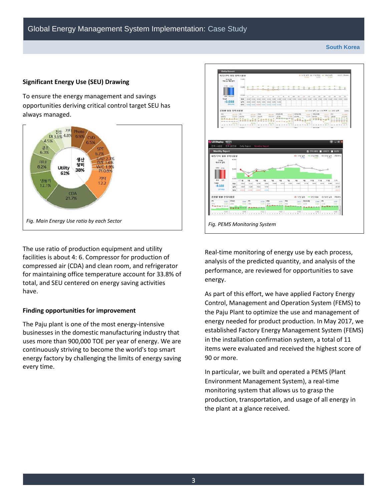#### **South Korea**

#### **Significant Energy Use (SEU) Drawing**

To ensure the energy management and savings opportunities deriving critical control target SEU has always managed.



The use ratio of production equipment and utility facilities is about 4: 6. Compressor for production of compressed air (CDA) and clean room, and refrigerator for maintaining office temperature account for 33.8% of total, and SEU centered on energy saving activities have.

#### **Finding opportunities for improvement**

The Paju plant is one of the most energy-intensive businesses in the domestic manufacturing industry that uses more than 900,000 TOE per year of energy. We are continuously striving to become the world's top smart energy factory by challenging the limits of energy saving every time.



Real-time monitoring of energy use by each process, analysis of the predicted quantity, and analysis of the performance, are reviewed for opportunities to save energy.

As part of this effort, we have applied Factory Energy Control, Management and Operation System (FEMS) to the Paju Plant to optimize the use and management of energy needed for product production. In May 2017, we established Factory Energy Management System (FEMS) in the installation confirmation system, a total of 11 items were evaluated and received the highest score of 90 or more.

In particular, we built and operated a PEMS (Plant Environment Management System), a real-time monitoring system that allows us to grasp the production, transportation, and usage of all energy in the plant at a glance received.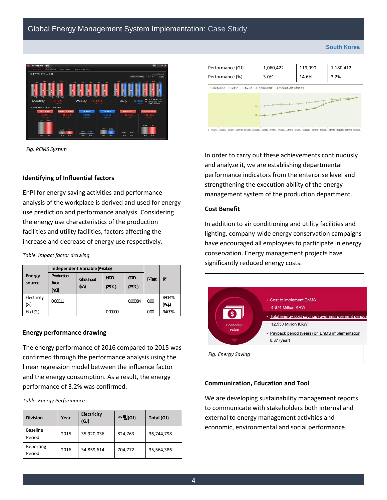



#### **Identifying of Influential factors**

EnPI for energy saving activities and performance analysis of the workplace is derived and used for energy use prediction and performance analysis. Considering the energy use characteristics of the production facilities and utility facilities, factors affecting the increase and decrease of energy use respectively.

*Table. Impact factor drawing* 

|                         | Independent Variable (PValue) |                    |                      |                      |                |                  |
|-------------------------|-------------------------------|--------------------|----------------------|----------------------|----------------|------------------|
| <b>Energy</b><br>source | Production<br>Area<br>(m3)    | Glassinput<br>(EA) | <b>HDD</b><br>(25°C) | <b>CDD</b><br>(25°C) | <b>F</b> Test  | $R^2$            |
| Electricity<br>(G)      | 000011                        |                    |                      | 000084               | 0 <sup>0</sup> | 89.14%<br>(Adj.) |
| Heat(GJ)                |                               |                    | 000000               |                      | 000            | 94.09%           |

#### **Energy performance drawing**

The energy performance of 2016 compared to 2015 was confirmed through the performance analysis using the linear regression model between the influence factor and the energy consumption. As a result, the energy performance of 3.2% was confirmed.

*Table. Energy Performance*

| <b>Division</b>           | Year | <b>Electricity</b><br>(GJ) | 스팀(GJ)  | Total (GJ) |
|---------------------------|------|----------------------------|---------|------------|
| <b>Baseline</b><br>Period | 2015 | 35,920,036                 | 824,763 | 36,744,798 |
| Reporting<br>Period       | 2016 | 34,859,614                 | 704,772 | 35,564,386 |

In order to carry out these achievements continuously and analyze it, we are establishing departmental performance indicators from the enterprise level and strengthening the execution ability of the energy management system of the production department.

#### **Cost Benefit**

In addition to air conditioning and utility facilities and lighting, company-wide energy conservation campaigns have encouraged all employees to participate in energy conservation. Energy management projects have significantly reduced energy costs.



#### **Communication, Education and Tool**

We are developing sustainability management reports to communicate with stakeholders both internal and external to energy management activities and economic, environmental and social performance.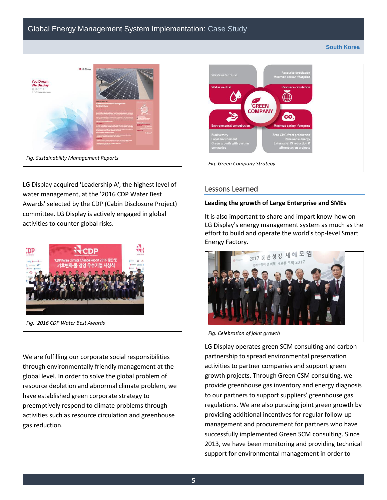#### **South Korea**



LG Display acquired 'Leadership A', the highest level of water management, at the '2016 CDP Water Best Awards' selected by the CDP (Cabin Disclosure Project) committee. LG Display is actively engaged in global activities to counter global risks.



We are fulfilling our corporate social responsibilities through environmentally friendly management at the global level. In order to solve the global problem of resource depletion and abnormal climate problem, we have established green corporate strategy to preemptively respond to climate problems through activities such as resource circulation and greenhouse gas reduction.



#### Lessons Learned

#### **Leading the growth of Large Enterprise and SMEs**

It is also important to share and impart know-how on LG Display's energy management system as much as the effort to build and operate the world's top-level Smart Energy Factory.



*Fig. Celebration of joint growth* 

LG Display operates green SCM consulting and carbon partnership to spread environmental preservation activities to partner companies and support green growth projects. Through Green CSM consulting, we provide greenhouse gas inventory and energy diagnosis to our partners to support suppliers' greenhouse gas regulations. We are also pursuing joint green growth by providing additional incentives for regular follow-up management and procurement for partners who have successfully implemented Green SCM consulting. Since 2013, we have been monitoring and providing technical support for environmental management in order to